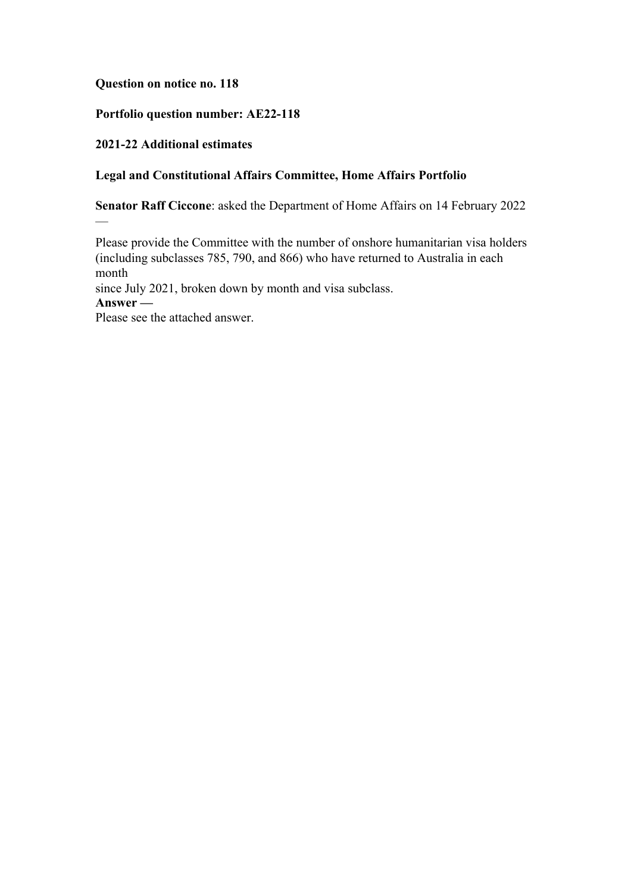### **Question on notice no. 118**

## **Portfolio question number: AE22-118**

## **2021-22 Additional estimates**

### **Legal and Constitutional Affairs Committee, Home Affairs Portfolio**

**Senator Raff Ciccone**: asked the Department of Home Affairs on 14 February 2022

Please provide the Committee with the number of onshore humanitarian visa holders (including subclasses 785, 790, and 866) who have returned to Australia in each month

since July 2021, broken down by month and visa subclass.

**Answer —**

 $\overline{\phantom{0}}$ 

Please see the attached answer.